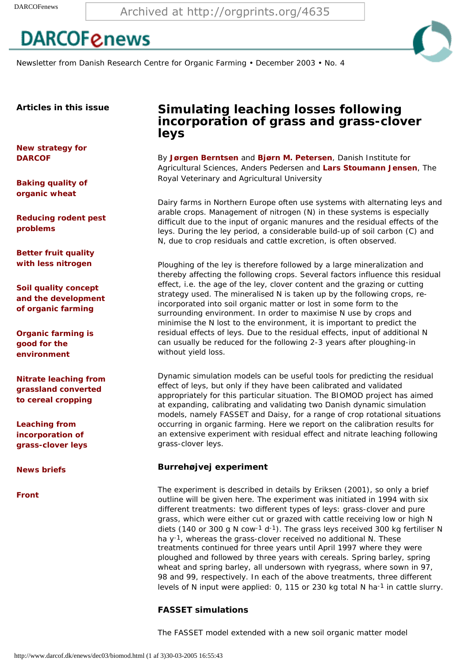Newsletter from Danish Research Centre for Organic Farming • December 2003 • No. 4

**Articles in this issue**

**[New strategy for](http://www.darcof.dk/enews/dec03/strat.html) [DARCOF](http://www.darcof.dk/enews/dec03/strat.html)**

**[Baking quality of](http://www.darcof.dk/enews/dec03/bake.html)  [organic wheat](http://www.darcof.dk/enews/dec03/bake.html)** 

**[Reducing rodent pest](http://www.darcof.dk/enews/dec03/rodent.html) [problems](http://www.darcof.dk/enews/dec03/rodent.html)** 

**[Better fruit quality](http://www.darcof.dk/enews/dec03/apple.html)  [with less nitrogen](http://www.darcof.dk/enews/dec03/apple.html)** 

**[Soil quality concept](http://www.darcof.dk/enews/dec03/soil.html)  [and the development](http://www.darcof.dk/enews/dec03/soil.html) [of organic farming](http://www.darcof.dk/enews/dec03/soil.html)**

**[Organic farming is](http://www.darcof.dk/enews/dec03/vmp2.html)  [good for the](http://www.darcof.dk/enews/dec03/vmp2.html)  [environment](http://www.darcof.dk/enews/dec03/vmp2.html)**

**[Nitrate leaching from](http://www.darcof.dk/enews/dec03/dinog.html) [grassland converted](http://www.darcof.dk/enews/dec03/dinog.html)  [to cereal cropping](http://www.darcof.dk/enews/dec03/dinog.html)**

**[Leaching from](#page-0-0)  [incorporation of](#page-0-0) [grass-clover leys](#page-0-0)**

**[News briefs](http://www.darcof.dk/enews/dec03/brief.html)**

**[Front](http://www.darcof.dk/enews/dec03/index.html)**

# **Simulating leaching losses following incorporation of grass and grass-clover leys**

By **[Jørgen Berntsen](http://www.agrsci.dk/jpm/jbe/indexen.shtml)** and **[Bjørn M. Petersen](http://www.agrsci.dk/jpm/bpe/)**, Danish Institute for Agricultural Sciences, Anders Pedersen and **[Lars Stoumann Jensen](http://www.agsci.kvl.dk/~lastjej5/cv/index.htm)**, The Royal Veterinary and Agricultural University

Dairy farms in Northern Europe often use systems with alternating leys and arable crops. Management of nitrogen (N) in these systems is especially difficult due to the input of organic manures and the residual effects of the leys. During the ley period, a considerable build-up of soil carbon (C) and N, due to crop residuals and cattle excretion, is often observed.

Ploughing of the ley is therefore followed by a large mineralization and thereby affecting the following crops. Several factors influence this residual effect, i.e. the age of the ley, clover content and the grazing or cutting strategy used. The mineralised N is taken up by the following crops, reincorporated into soil organic matter or lost in some form to the surrounding environment. In order to maximise N use by crops and minimise the N lost to the environment, it is important to predict the residual effects of leys. Due to the residual effects, input of additional N can usually be reduced for the following 2-3 years after ploughing-in without yield loss.

Dynamic simulation models can be useful tools for predicting the residual effect of leys, but only if they have been calibrated and validated appropriately for this particular situation. The BIOMOD project has aimed at expanding, calibrating and validating two Danish dynamic simulation models, namely FASSET and Daisy, for a range of crop rotational situations occurring in organic farming. Here we report on the calibration results for an extensive experiment with residual effect and nitrate leaching following grass-clover leys.

### **Burrehøjvej experiment**

<span id="page-0-0"></span>The experiment is described in details by Eriksen (2001), so only a brief outline will be given here. The experiment was initiated in 1994 with six different treatments: two different types of leys: grass-clover and pure grass, which were either cut or grazed with cattle receiving low or high N diets (140 or 300 g N cow-1 d-1). The grass leys received 300 kg fertiliser N ha y<sup>-1</sup>, whereas the grass-clover received no additional N. These treatments continued for three years until April 1997 where they were ploughed and followed by three years with cereals. Spring barley, spring wheat and spring barley, all undersown with ryegrass, where sown in 97, 98 and 99, respectively. In each of the above treatments, three different levels of N input were applied: 0, 115 or 230 kg total N ha<sup>-1</sup> in cattle slurry. Archived at http://orgprints.org/4635<br> **DARCOF CRIEWS**<br>
Newsters from David Pissonic Centre for Organis Farming • December 2003 • N<br>
Articles in this issue<br>  $\begin{array}{ll}\n\text{Stochastic form.}\n\end{array}$ <br>
Articles in this issue<br>  $\begin{array}{ll}\n\text{Stochastic$ 

### **FASSET simulations**

The FASSET model extended with a new soil organic matter model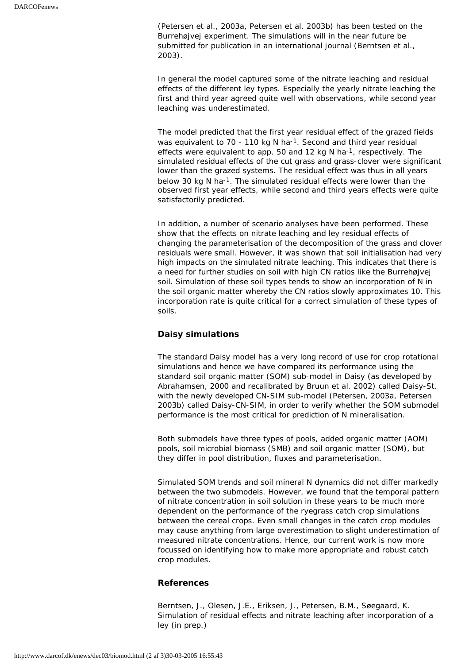(Petersen et al., 2003a, Petersen et al. 2003b) has been tested on the Burrehøjvej experiment. The simulations will in the near future be submitted for publication in an international journal (Berntsen et al., 2003).

In general the model captured some of the nitrate leaching and residual effects of the different ley types. Especially the yearly nitrate leaching the first and third year agreed quite well with observations, while second year leaching was underestimated.

The model predicted that the first year residual effect of the grazed fields was equivalent to 70 - 110 kg N ha<sup>-1</sup>. Second and third year residual effects were equivalent to app. 50 and 12 kg N ha<sup>-1</sup>, respectively. The simulated residual effects of the cut grass and grass-clover were significant lower than the grazed systems. The residual effect was thus in all years below 30 kg N ha-1. The simulated residual effects were lower than the observed first year effects, while second and third years effects were quite satisfactorily predicted.

In addition, a number of scenario analyses have been performed. These show that the effects on nitrate leaching and ley residual effects of changing the parameterisation of the decomposition of the grass and clover residuals were small. However, it was shown that soil initialisation had very high impacts on the simulated nitrate leaching. This indicates that there is a need for further studies on soil with high CN ratios like the Burrehøjvej soil. Simulation of these soil types tends to show an incorporation of N in the soil organic matter whereby the CN ratios slowly approximates 10. This incorporation rate is quite critical for a correct simulation of these types of soils.

### **Daisy simulations**

The standard Daisy model has a very long record of use for crop rotational simulations and hence we have compared its performance using the standard soil organic matter (SOM) sub-model in Daisy (as developed by Abrahamsen, 2000 and recalibrated by Bruun et al. 2002) called Daisy-St. with the newly developed CN-SIM sub-model (Petersen, 2003a, Petersen 2003b) called Daisy-CN-SIM, in order to verify whether the SOM submodel performance is the most critical for prediction of N mineralisation.

Both submodels have three types of pools, added organic matter (AOM) pools, soil microbial biomass (SMB) and soil organic matter (SOM), but they differ in pool distribution, fluxes and parameterisation.

Simulated SOM trends and soil mineral N dynamics did not differ markedly between the two submodels. However, we found that the temporal pattern of nitrate concentration in soil solution in these years to be much more dependent on the performance of the ryegrass catch crop simulations between the cereal crops. Even small changes in the catch crop modules may cause anything from large overestimation to slight underestimation of measured nitrate concentrations. Hence, our current work is now more focussed on identifying how to make more appropriate and robust catch crop modules.

#### **References**

Berntsen, J., Olesen, J.E., Eriksen, J., Petersen, B.M., Søegaard, K. Simulation of residual effects and nitrate leaching after incorporation of a ley (in prep.)